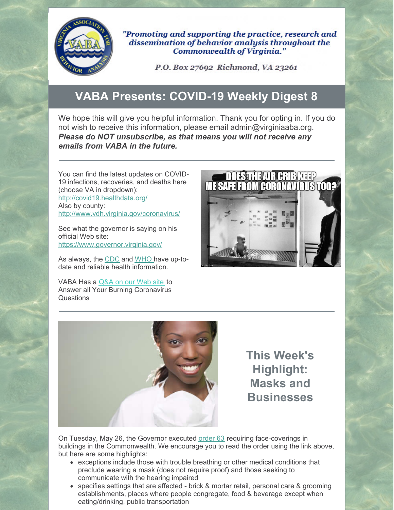

"Promoting and supporting the practice, research and dissemination of behavior analysis throughout the Commonwealth of Virginia."

P.O. Box 27692 Richmond, VA 23261

## **VABA Presents: COVID-19 Weekly Digest 8**

We hope this will give you helpful information. Thank you for opting in. If you do not wish to receive this information, please email admin@virginiaaba.org. *Please do NOT unsubscribe, as that means you will not receive any emails from VABA in the future.*

You can find the latest updates on COVID-19 infections, recoveries, and deaths here (choose VA in dropdown): http://covid19.healthdata.org/ Also by county: http://www.vdh.virginia.gov/coronavirus/

See what the governor is saying on his official Web site: https://www.governor.virginia.gov/

As always, the CDC and WHO have up-todate and reliable health information.

VABA Has a Q&A on our Web site to Answer all Your Burning Coronavirus Questions





**This Week's Highlight: Masks and Businesses**

On Tuesday, May 26, the Governor executed order 63 requiring face-coverings in buildings in the Commonwealth. We encourage you to read the order using the link above, but here are some highlights:

- exceptions include those with trouble breathing or other medical conditions that preclude wearing a mask (does not require proof) and those seeking to communicate with the hearing impaired
- specifies settings that are affected brick & mortar retail, personal care & grooming establishments, places where people congregate, food & beverage except when eating/drinking, public transportation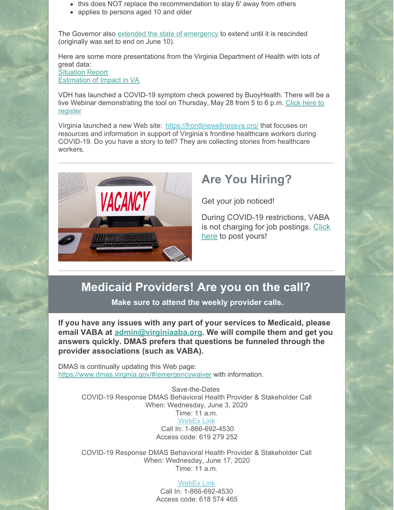- this does NOT replace the recommendation to stay 6' away from others
- applies to persons aged 10 and older

The Governor also extended the state of emergency to extend until it is rescinded (originally was set to end on June 10).

Here are some more presentations from the Virginia Department of Health with lots of great data: **Situation Report** Estimation of Impact in VA

VDH has launched a COVID-19 symptom check powered by BuoyHealth. There will be a live Webinar demonstrating the tool on Thursday, May 28 from 5 to 6 p.m. Click here to register

Virginia launched a new Web site: https://frontlinewellnessva.org/ that focuses on resources and information in support of Virginia's frontline healthcare workers during COVID-19. Do you have a story to tell? They are collecting stories from healthcare workers.



## **Are You Hiring?**

Get your job noticed!

During COVID-19 restrictions, VABA is not charging for job postings. Click here to post yours!

## **Medicaid Providers! Are you on the call?**

**Make sure to attend the weekly provider calls.**

**If you have any issues with any part of your services to Medicaid, please email VABA at admin@virginiaaba.org. We will compile them and get you answers quickly. DMAS prefers that questions be funneled through the provider associations (such as VABA).**

DMAS is continually updating this Web page: https://www.dmas.virginia.gov/#/emergencywaiver with information.

> Save-the-Dates COVID-19 Response DMAS Behavioral Health Provider & Stakeholder Call When: Wednesday, June 3, 2020 Time: 11 a.m. WebEx Link Call In: 1-866-692-4530 Access code: 619 279 252

> COVID-19 Response DMAS Behavioral Health Provider & Stakeholder Call When: Wednesday, June 17, 2020 Time: 11 a.m.

## WebEx Link

Call In: 1-866-692-4530 Access code: 618 574 465